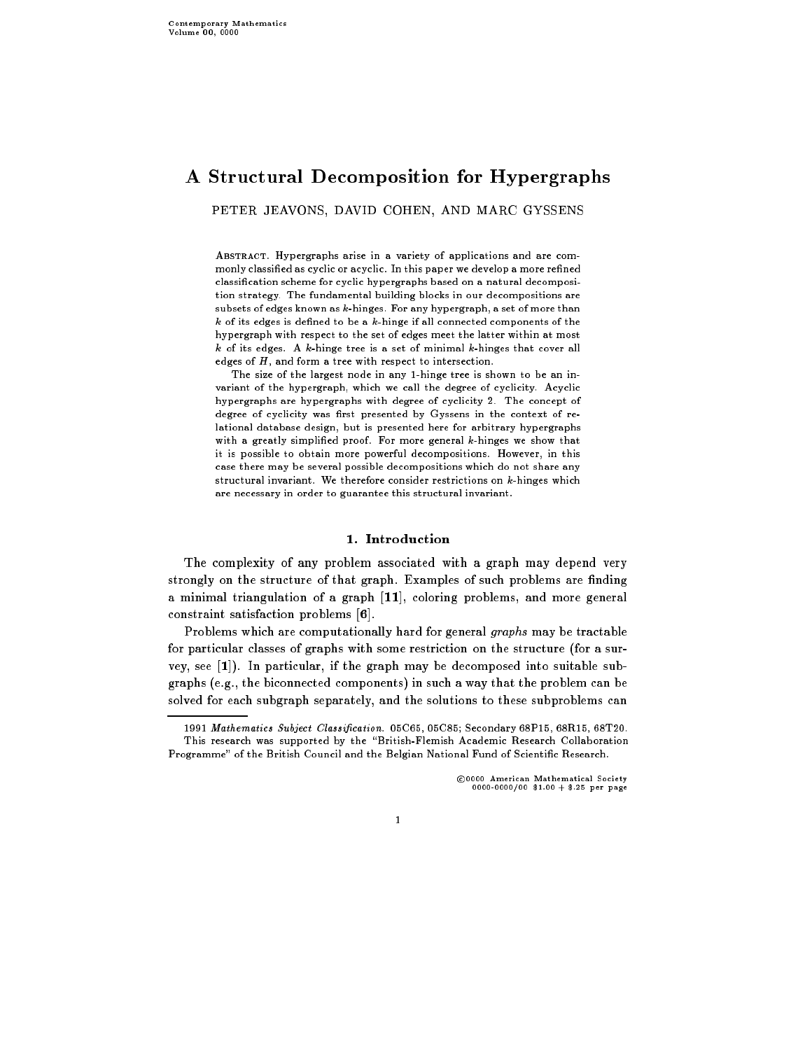# A Structural Decomposition for Hypergraphs

PETER JEAVONS, DAVID COHEN, AND MARC GYSSENS

ABSTRACT. Hypergraphs arise in a variety of applications and are commonly classified as cyclic or acyclic. In this paper we develop a more refined classication scheme for cyclic hypergraphs based on a natural decomposition strategy. The fundamental building blocks in our decompositions are subsets of edges known as k-hinges. For any hypergraph, a set of more than  $k$  of its edges is defined to be a  $k$ -hinge if all connected components of the hypergraph with respect to the set of edges meet the latter within at most  $k$  of its edges. A  $k$ -hinge tree is a set of minimal  $k$ -hinges that cover all edges of  $H$ , and form a tree with respect to intersection.

The size of the largest node in any 1-hinge tree is shown to be an invariant of the hypergraph, which we call the degree of cyclicity. Acyclic hypergraphs are hypergraphs with degree of cyclicity 2. The concept of degree of cyclicity was first presented by Gyssens in the context of relational database design, but is presented here for arbitrary hypergraphs with a greatly simplified proof. For more general k-hinges we show that it is possible to obtain more powerful decompositions. However, in this case there may be several possible decompositions which do not share any structural invariant. We therefore consider restrictions on  $k$ -hinges which are necessary in order to guarantee this structural invariant.

## 1. Introduction

The complexity of any problem associated with a graph may depend very strongly on the structure of that graph. Examples of such problems are finding a minimal triangulation of a graph [11], coloring problems, and more general constraint satisfaction problems [6].

Problems which are computationally hard for general graphs may be tractable for particular classes of graphs with some restriction on the structure (for a survey, see [1]). In particular, if the graph may be decomposed into suitable subgraphs (e.g., the biconnected components) in such a way that the problem can be solved for each subgraph separately, and the solutions to these subproblems can

<sup>c</sup> 0000 American Mathematical Society 0000-0000/00 \$1.00 + \$.25 per page

<sup>1991</sup> Mathematics Subject Classication. 05C65, 05C85; Secondary 68P15, 68R15, 68T20. This research was supported by the "British-Flemish Academic Research Collaboration Programme" of the British Council and the Belgian National Fund of Scientic Research.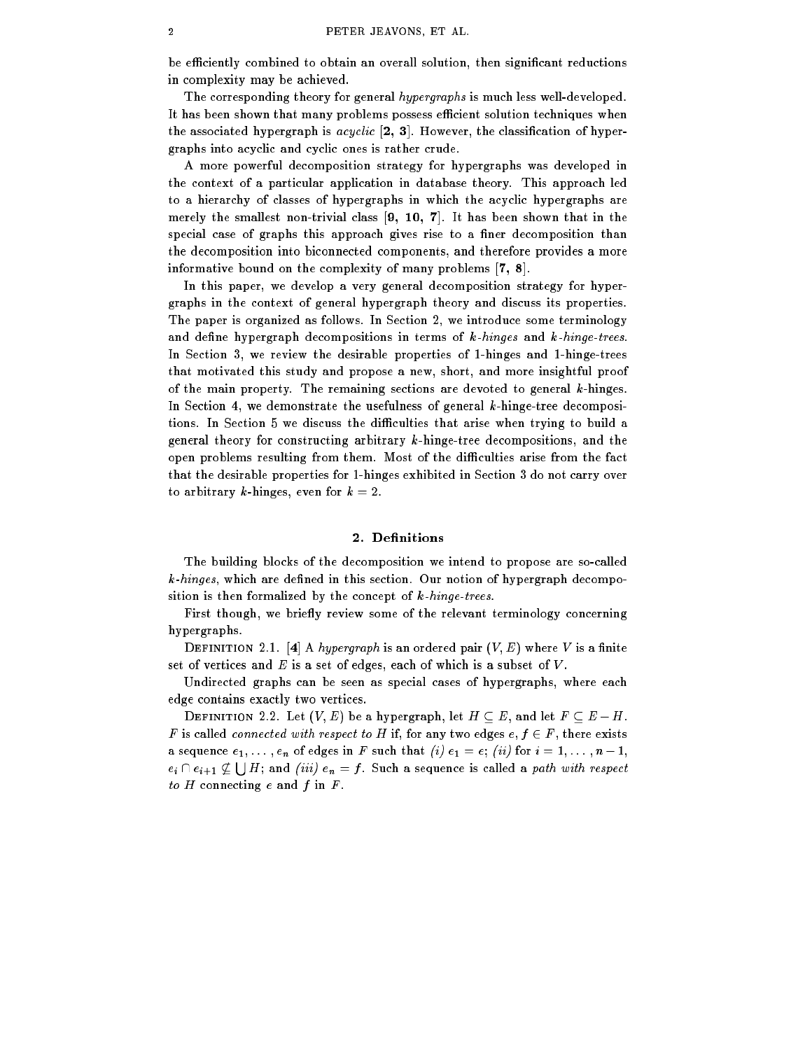be efficiently combined to obtain an overall solution, then significant reductions in complexity may be achieved.

The corresponding theory for general *hypergraphs* is much less well-developed. It has been shown that many problems possess efficient solution techniques when the associated hypergraph is  $acyclic$  [2, 3]. However, the classification of hypergraphs into acyclic and cyclic ones is rather crude.

A more powerful decomposition strategy for hypergraphs was developed in the context of a particular application in database theory. This approach led to a hierarchy of classes of hypergraphs in which the acyclic hypergraphs are merely the smallest non-trivial class [9, 10, 7]. It has been shown that in the special case of graphs this approach gives rise to a finer decomposition than the decomposition into biconnected components, and therefore provides a more informative bound on the complexity of many problems [7, 8].

In this paper, we develop a very general decomposition strategy for hypergraphs in the context of general hypergraph theory and discuss its properties. The paper is organized as follows. In Section 2, we introduce some terminology and define hypergraph decompositions in terms of  $k$ -hinges and  $k$ -hinge-trees. In Section 3, we review the desirable properties of 1-hinges and 1-hinge-trees that motivated this study and propose a new, short, and more insightful proof of the main property. The remaining sections are devoted to general k-hinges. In Section 4, we demonstrate the usefulness of general k-hinge-tree decompositions. In Section 5 we discuss the difficulties that arise when trying to build a general theory for constructing arbitrary k-hinge-tree decompositions, and the open problems resulting from them. Most of the difficulties arise from the fact that the desirable properties for 1-hinges exhibited in Section 3 do not carry over to arbitrary k-hinges, even for  $k = 2$ .

## 2. Definitions

The building blocks of the decomposition we intend to propose are so-called  $k$ -hinges, which are defined in this section. Our notion of hypergraph decomposition is then formalized by the concept of  $k$ -hinge-trees.

First though, we briefly review some of the relevant terminology concerning hypergraphs.

DEFINITION 2.1. [4] A hypergraph is an ordered pair  $(V, E)$  where V is a finite set of vertices and  $E$  is a set of edges, each of which is a subset of  $V$ .

Undirected graphs can be seen as special cases of hypergraphs, where each edge contains exactly two vertices.

DEFINITION 2.2. Let  $(V, E)$  be a hypergraph, let  $H \subseteq E$ , and let  $F \subseteq E - H$ . F is called *connected with respect to H* if, for any two edges  $e, f \in F$ , there exists a sequence  $e_1, \ldots, e_n$  of edges in F such that  $(i)$   $e_1 = e$ ;  $(ii)$  for  $i = 1, \ldots, n-1$ ,  $e_i \cap e_{i+1} \not\subset \bigcup H$ ; and *(iii)*  $e_n = f$ . Such a sequence is called a path with respect to  $H$  connecting  $e$  and  $f$  in  $F$ .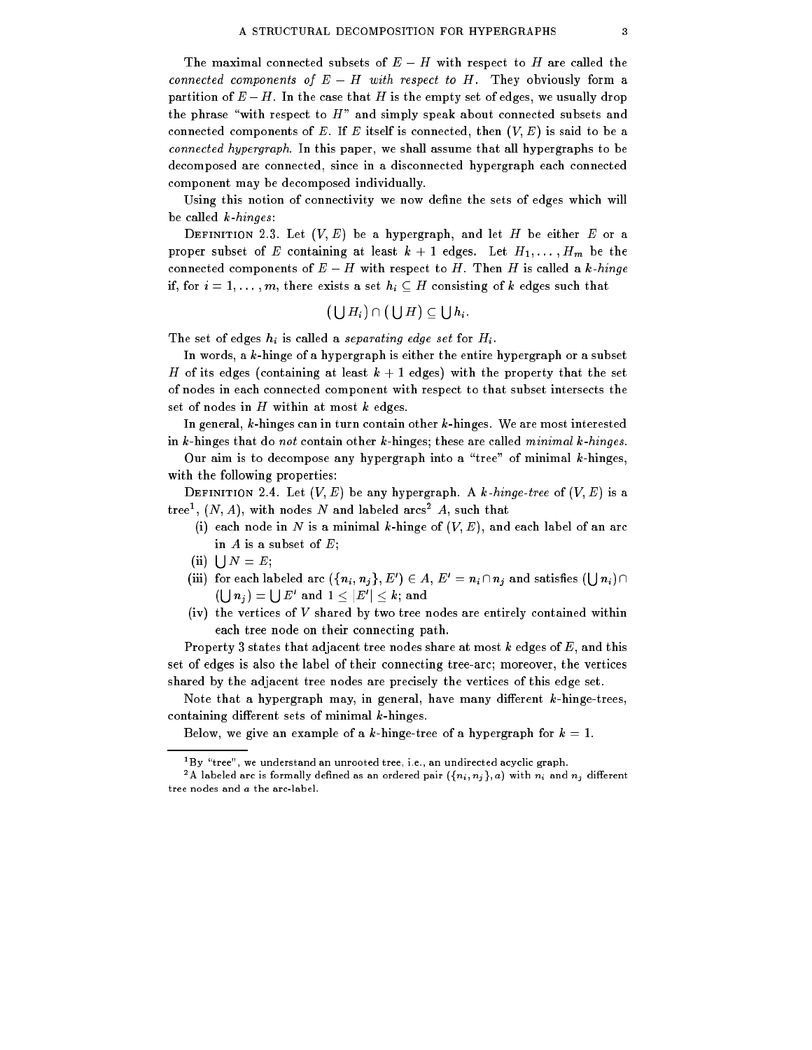The maximal connected subsets of  $E-H$  with respect to H are called the connected components of  $E - H$  with respect to H. They obviously form a partition of  $E-H$ . In the case that H is the empty set of edges, we usually drop the phrase "with respect to  $H$ " and simply speak about connected subsets and connected components of E. If E itself is connected, then  $(V, E)$  is said to be a connected hypergraph. In this paper, we shall assume that all hypergraphs to be decomposed are connected, since in a disconnected hypergraph each connected component may be decomposed individually.

Using this notion of connectivity we now define the sets of edges which will be called  $k$ -hinges:

DEFINITION 2.3. Let  $(V, E)$  be a hypergraph, and let H be either E or a proper subset of E containing at least  $k + 1$  edges. Let  $H_1, \ldots, H_m$  be the connected components of  $E-H$  with respect to H. Then H is called a k-hinge if, for  $i = 1, \ldots, m$ , there exists a set  $h_i \subseteq H$  consisting of k edges such that

$$
(\bigcup H_i)\cap(\bigcup H)\subseteq\bigcup h_i.
$$

The set of edges  $h_i$  is called a separating edge set for  $H_i$ .

In words, a k-hinge of a hypergraph is either the entire hypergraph or a subset H of its edges (containing at least  $k + 1$  edges) with the property that the set of nodes in each connected component with respect to that subset intersects the set of nodes in  $H$  within at most  $k$  edges.

In general, k-hinges can in turn contain other k-hinges. We are most interested in k-hinges that do not contain other k-hinges; these are called minimal k-hinges.

Our aim is to decompose any hypergraph into a "tree" of minimal  $k$ -hinges, with the following properties:

DEFINITION 2.4. Let  $(V, E)$  be any hypergraph. A k-hinge-tree of  $(V, E)$  is a  $\text{tree}$  ,  $\left(N, A\right)$ , with nodes  $N$  and labeled arcs  $\overline{A}$ , such that

- (i) each node in N is a minimal k-hinge of  $(V, E)$ , and each label of an arc in  $A$  is a subset of  $E$ ;
- (ii)  $\bigcup N = E;$
- (iii) for each labeled arc  $(\{n_i, n_j\}, E') \in A$ ,  $E' = n_i \cap n_j$  and satisfies  $(\bigcup n_i) \cap$  $(\lfloor \cdot \rfloor n_i) = \lfloor \cdot \rfloor E'$  and  $1 \leq \lfloor E' \rfloor \leq k$ ; and
- (iv) the vertices of  $V$  shared by two tree nodes are entirely contained within each tree node on their connecting path.

Property 3 states that adjacent tree nodes share at most  $k$  edges of  $E$ , and this set of edges is also the label of their connecting tree-arc; moreover, the vertices shared by the adjacent tree nodes are precisely the vertices of this edge set.

Note that a hypergraph may, in general, have many different  $k$ -hinge-trees, containing different sets of minimal  $k$ -hinges.

Below, we give an example of a k-hinge-tree of a hypergraph for  $k = 1$ .

 $1\,\text{By}$  "tree", we understand an unrooted tree, i.e., an undirected acyclic graph.

<sup>&</sup>lt;sup>2</sup>A labeled arc is formally defined as an ordered pair  $(\{n_i, n_j\}, a)$  with  $n_i$  and  $n_j$  different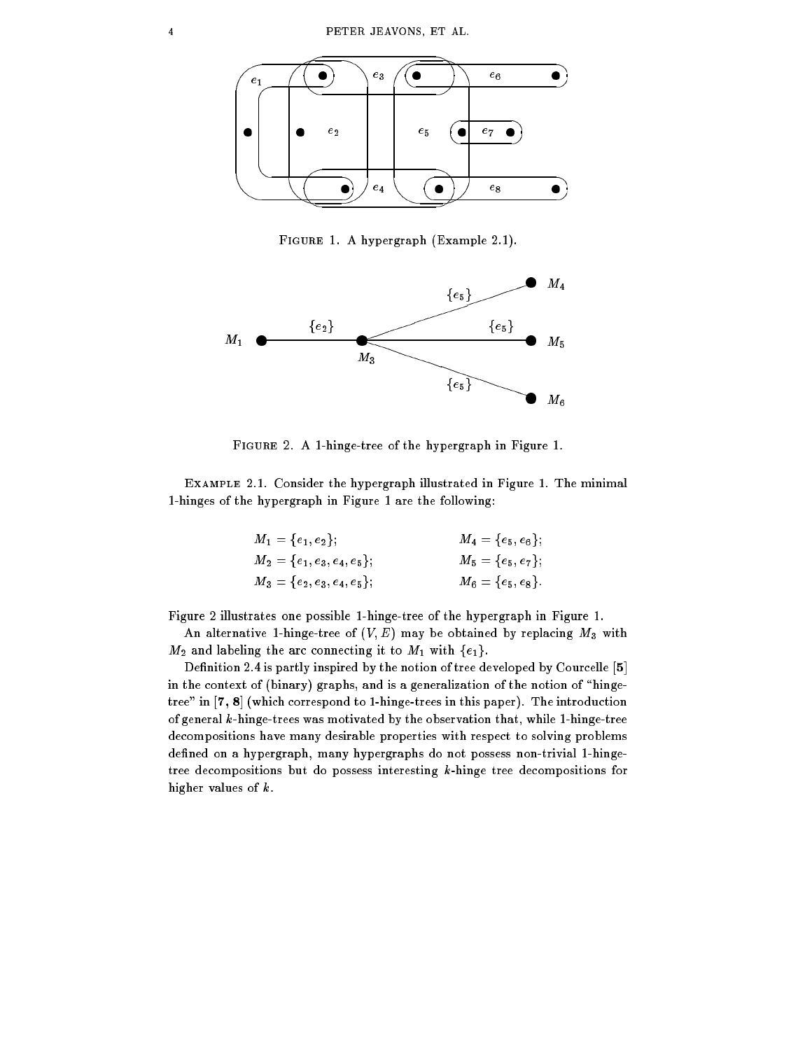

Figure 1. A hypergraph (Example 2.1).



Figure 2. A 1-hinge-tree of the hypergraph in Figure 1.

Example 2.1. Consider the hypergraph illustrated in Figure 1. The minimal 1-hinges of the hypergraph in Figure 1 are the following:

| $M_1 = \{e_1, e_2\};$           | $M_4 = \{e_5, e_6\};$ |
|---------------------------------|-----------------------|
| $M_2 = \{e_1, e_3, e_4, e_5\};$ | $M_5=\{e_5,e_7\};$    |
| $M_3 = \{e_2, e_3, e_4, e_5\};$ | ${M}_6=\{e_5,e_8\}$ . |

Figure 2 illustrates one possible 1-hinge-tree of the hypergraph in Figure 1.

An alternative 1-hinge-tree of  $(V, E)$  may be obtained by replacing  $M_3$  with  $M_2$  and labeling the arc connecting it to  $M_1$  with  $\{e_1\}.$ 

Definition 2.4 is partly inspired by the notion of tree developed by Courcelle [5] in the context of (binary) graphs, and is a generalization of the notion of "hingetree" in [7, 8] (which correspond to 1-hinge-trees in this paper). The introduction of general k-hinge-trees was motivated by the observation that, while 1-hinge-tree decompositions have many desirable properties with respect to solving problems defined on a hypergraph, many hypergraphs do not possess non-trivial 1-hingetree decompositions but do possess interesting k-hinge tree decompositions for higher values of k.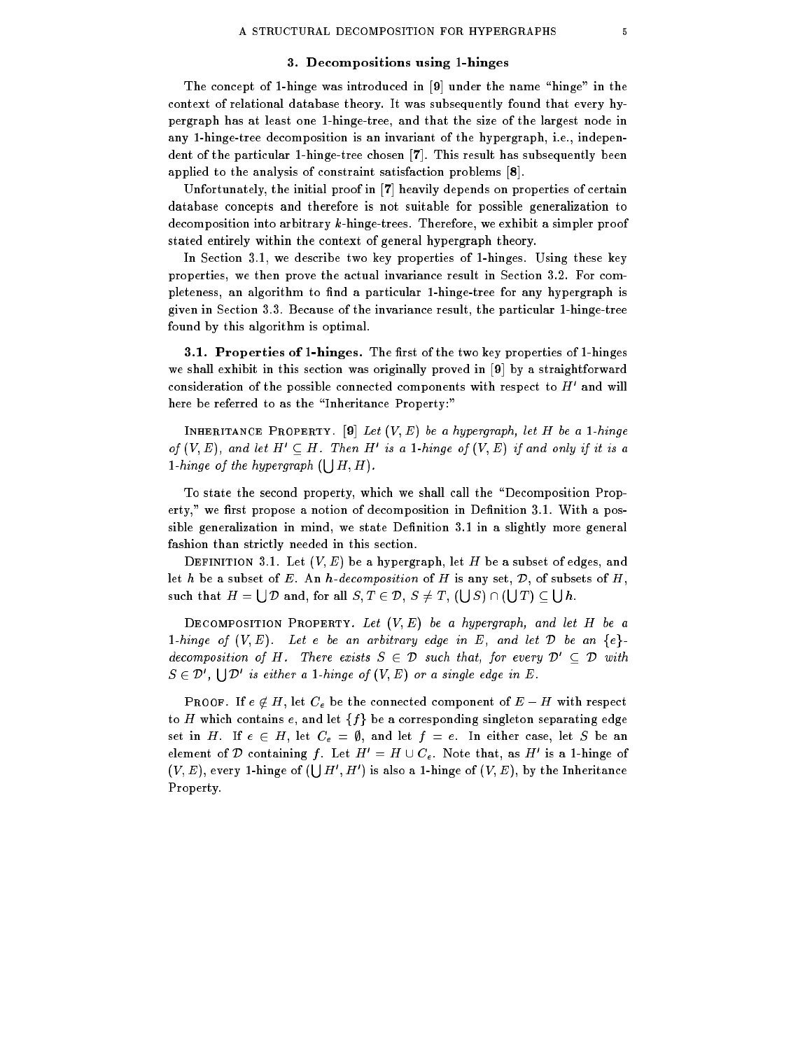### 3. Decompositions using 1-hinges

The concept of 1-hinge was introduced in  $[9]$  under the name "hinge" in the context of relational database theory. It was subsequently found that every hypergraph has at least one 1-hinge-tree, and that the size of the largest node in any 1-hinge-tree decomposition is an invariant of the hypergraph, i.e., independent of the particular 1-hinge-tree chosen [7]. This result has subsequently been applied to the analysis of constraint satisfaction problems [8].

Unfortunately, the initial proof in [7] heavily depends on properties of certain database concepts and therefore is not suitable for possible generalization to decomposition into arbitrary k-hinge-trees. Therefore, we exhibit a simpler proof stated entirely within the context of general hypergraph theory.

In Section 3.1, we describe two key properties of 1-hinges. Using these key properties, we then prove the actual invariance result in Section 3.2. For completeness, an algorithm to find a particular 1-hinge-tree for any hypergraph is given in Section 3.3. Because of the invariance result, the particular 1-hinge-tree found by this algorithm is optimal.

3.1. Properties of 1-hinges. The first of the two key properties of 1-hinges we shall exhibit in this section was originally proved in [9] by a straightforward consideration of the possible connected components with respect to  $\pi$  and will here be referred to as the "Inheritance Property:"

INHERITANCE PROPERTY. [9] Let  $(V, E)$  be a hypergraph, let H be a 1-hinge of  $(V, E)$ , and let  $H \subset H$ . Then  $H$  is a 1-hinge of  $(V, E)$  if and only if it is a 1-hinge of the hypergraph  $(\vert \, \vert H, H)$ .

To state the second property, which we shall call the \Decomposition Property," we first propose a notion of decomposition in Definition 3.1. With a possible generalization in mind, we state Definition 3.1 in a slightly more general fashion than strictly needed in this section.

DEFINITION 3.1. Let  $(V, E)$  be a hypergraph, let H be a subset of edges, and let h be a subset of E. An h-decomposition of H is any set,  $D$ , of subsets of H, such that  $H = \bigcup \mathcal{D}$  and, for all  $S, T \in \mathcal{D}, S \neq T$ ,  $(\bigcup S) \cap (\bigcup T) \subset \bigcup h$ .

DECOMPOSITION PROPERTY. Let  $(V, E)$  be a hypergraph, and let H be a 1-hinge of  $(V, E)$ . Let e be an arbitrary edge in E, and let  $D$  be an  $\{e\}$ . decomposition of H. There exists  $S \in \mathcal{D}$  such that, for every  $\mathcal{D}' \subseteq \mathcal{D}$  with  $S \in \mathcal{D}'$ ,  $\Box$   $\Box$  is either a 1-hinge of  $(V, E)$  or a single edge in E.

**PROOF.** If  $e \notin H$ , let  $C_e$  be the connected component of  $E-H$  with respect to H which contains e, and let  $\{f\}$  be a corresponding singleton separating edge set in H. If  $e \in H$ , let  $C_e = \emptyset$ , and let  $f = e$ . In either case, let S be an element of  $\nu$  containing f. Let  $H = H \cup C_e$ . Note that, as  $H$  is a 1-hinge of  $(V, E)$ , every 1-hinge of  $(\Box H', H')$  is also a 1-hinge of  $(V, E)$ , by the Inheritance Property.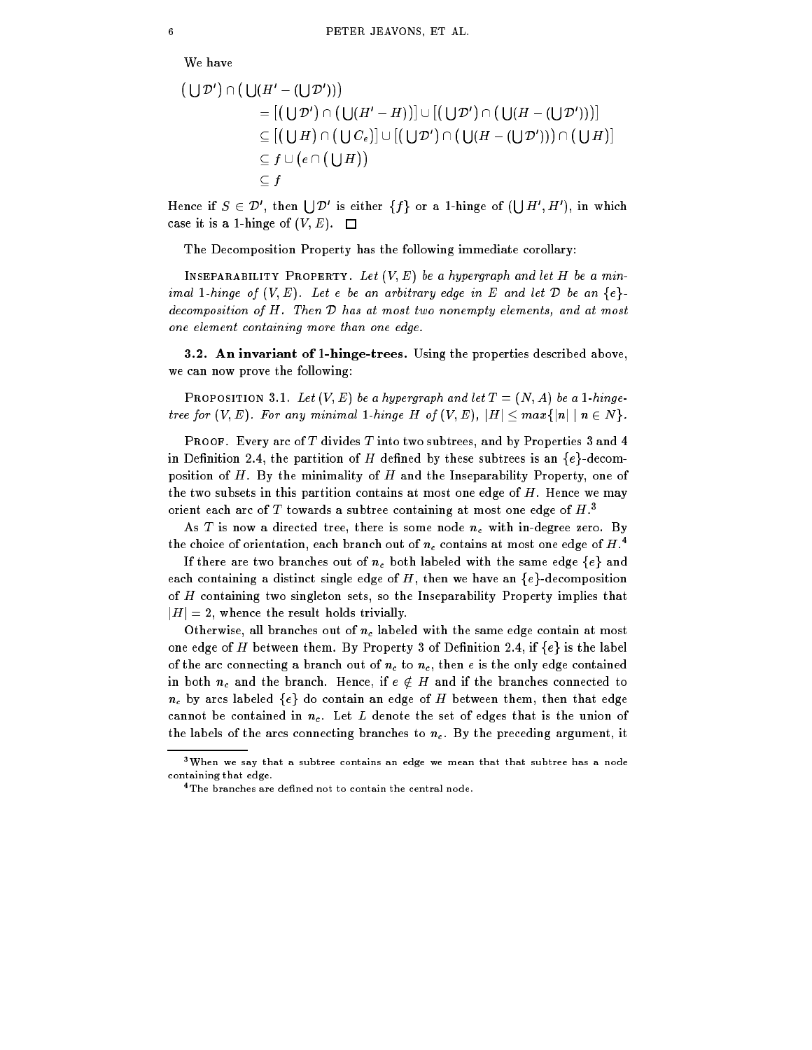$$
(\bigcup \mathcal{D}') \cap (\bigcup (H' - (\bigcup \mathcal{D}')))
$$
\n
$$
= [(\bigcup \mathcal{D}') \cap (\bigcup (H' - H))] \cup [(\bigcup \mathcal{D}') \cap (\bigcup (H - (\bigcup \mathcal{D}')))]
$$
\n
$$
\subseteq [(\bigcup H) \cap (\bigcup C_e)] \cup [(\bigcup \mathcal{D}') \cap (\bigcup (H - (\bigcup \mathcal{D}'))) \cap (\bigcup H)]
$$
\n
$$
\subseteq f \cup (e \cap (\bigcup H))
$$
\n
$$
\subseteq f
$$

Hence if  $S \in \mathcal{D}'$ , then  $|D'$  is either  $\{f\}$  or a 1-hinge of  $(|D' H', H')$ , in which case it is a 1-hinge of  $(V, E)$ .  $\Box$ 

The Decomposition Property has the following immediate corollary:

INSEPARABILITY PROPERTY. Let  $(V, E)$  be a hypergraph and let H be a minimal 1-hinge of  $(V, E)$ . Let e be an arbitrary edge in E and let D be an  $\{e\}$ . decomposition of H. Then <sup>D</sup> has at most two nonempty elements, and at most one element containing more than one edge.

3.2. An invariant of 1-hinge-trees. Using the properties described above, we can now prove the following:

PROPOSITION 3.1. Let  $(V, E)$  be a hypergraph and let  $T = (N, A)$  be a 1-hingetree for  $(V, E)$ . For any minimal 1-hinge H of  $(V, E)$ ,  $|H| \leq max\{|n| \mid n \in N\}$ .

PROOF. Every arc of  $T$  divides  $T$  into two subtrees, and by Properties 3 and 4 in Definition 2.4, the partition of H defined by these subtrees is an  $\{e\}$ -decomposition of  $H$ . By the minimality of  $H$  and the Inseparability Property, one of the two subsets in this partition contains at most one edge of  $H$ . Hence we may orient each arc of  $I$  towards a subtree containing at most one edge of  $H$ .

As T is now a directed tree, there is some node  $n_c$  with in-degree zero. By the choice of orientation, each branch out of  $n_c$  contains at most one edge of  $H$ .  $\overline{\phantom{a}}$ 

If there are two branches out of  $n_c$  both labeled with the same edge  $\{e\}$  and each containing a distinct single edge of H, then we have an  $\{e\}$ -decomposition of H containing two singleton sets, so the Inseparability Property implies that  $|H|=2$ , whence the result holds trivially.

Otherwise, all branches out of  $n_c$  labeled with the same edge contain at most one edge of H between them. By Property 3 of Definition 2.4, if  $\{e\}$  is the label of the arc connecting a branch out of  $n_c$  to  $n_c$ , then e is the only edge contained in both  $n_c$  and the branch. Hence, if  $e \notin H$  and if the branches connected to  $n_c$  by arcs labeled  $\{e\}$  do contain an edge of H between them, then that edge cannot be contained in  $n_c$ . Let L denote the set of edges that is the union of the labels of the arcs connecting branches to  $n_c$ . By the preceding argument, it

<sup>3</sup>When we say that a subtree contains an edge we mean that that subtree has a node containing that edge.

<sup>&</sup>lt;sup>4</sup>The branches are defined not to contain the central node.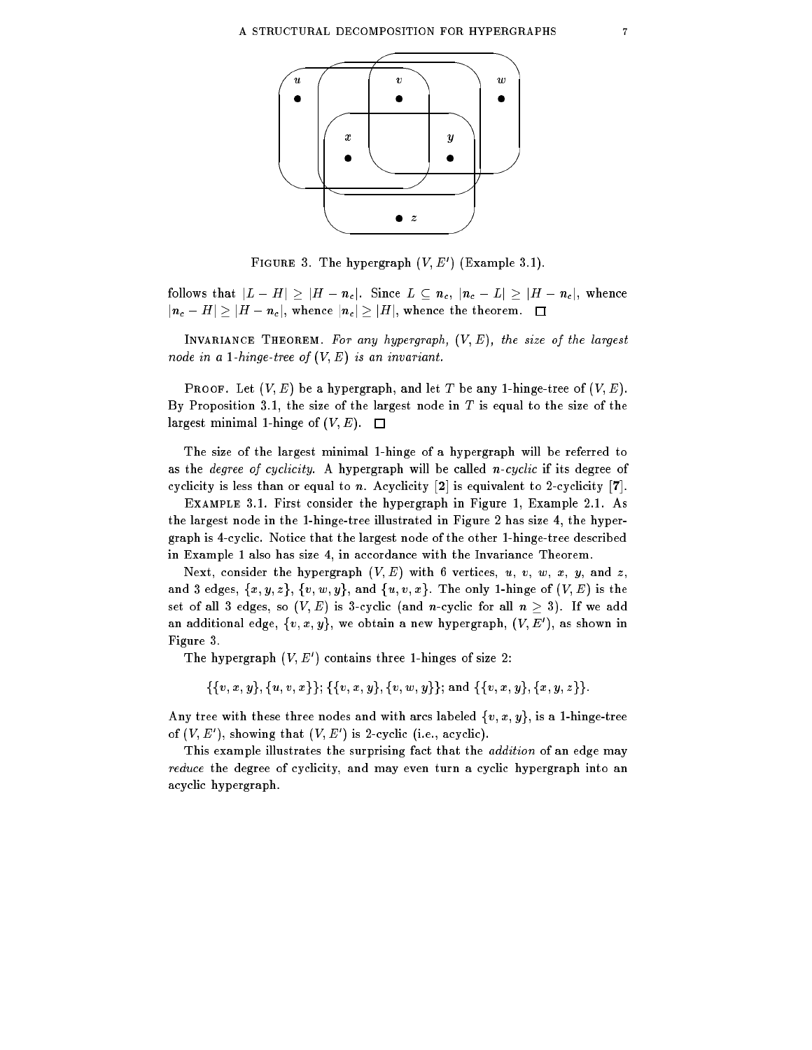

 $F$  igure 3. The hypergraph  $(V, E)$  (Example 3.1).

follows that  $|L - H| \geq |H - n_c|$ . Since  $L \subseteq n_c$ ,  $|n_c - L| \geq |H - n_c|$ , whence  $|n_c - H| \geq |H - n_c|$ , whence  $|n_c| \geq |H|$ , whence the theorem.  $\Box$ 

INVARIANCE THEOREM. For any hypergraph,  $(V, E)$ , the size of the largest node in a 1-hinge-tree of  $(V, E)$  is an invariant.

**PROOF.** Let  $(V, E)$  be a hypergraph, and let T be any 1-hinge-tree of  $(V, E)$ . By Proposition 3.1, the size of the largest node in  $T$  is equal to the size of the largest minimal 1-hinge of  $(V, E)$ .  $\Box$ 

The size of the largest minimal 1-hinge of a hypergraph will be referred to as the *degree of cyclicity*. A hypergraph will be called *n-cyclic* if its degree of cyclicity is less than or equal to n. Acyclicity  $[2]$  is equivalent to 2-cyclicity  $[7]$ .

Example 3.1. First consider the hypergraph in Figure 1, Example 2.1. As the largest node in the 1-hinge-tree illustrated in Figure 2 has size 4, the hypergraph is 4-cyclic. Notice that the largest node of the other 1-hinge-tree described in Example 1 also has size 4, in accordance with the Invariance Theorem.

Next, consider the hypergraph  $(V, E)$  with 6 vertices, u, v, w, x, y, and z, and 3 edges,  $\{x, y, z\}$ ,  $\{v, w, y\}$ , and  $\{u, v, x\}$ . The only 1-hinge of  $(V, E)$  is the set of all 3 edges, so  $(V, E)$  is 3-cyclic (and n-cyclic for all  $n \geq 3$ ). If we add an additional edge,  $\{v, x, y\}$ , we obtain a new hypergraph,  $\{V, E\}$  , as shown in Figure 3.

The hypergraph  $V, E$  decontains three 1-hinges of size 2:

 $\{\{v, x, y\}, \{u, v, x\}\}; \{\{v, x, y\}, \{v, w, y\}\};$  and  $\{\{v, x, y\}, \{x, y, z\}\}.$ 

Any tree with these three nodes and with arcs labeled  $\{v, x, y\}$ , is a 1-hinge-tree of  $(V, E)$ , showing that  $(V, E)$  is 2-cyclic (i.e., acyclic).

This example illustrates the surprising fact that the *addition* of an edge may reduce the degree of cyclicity, and may even turn a cyclic hypergraph into an acyclic hypergraph.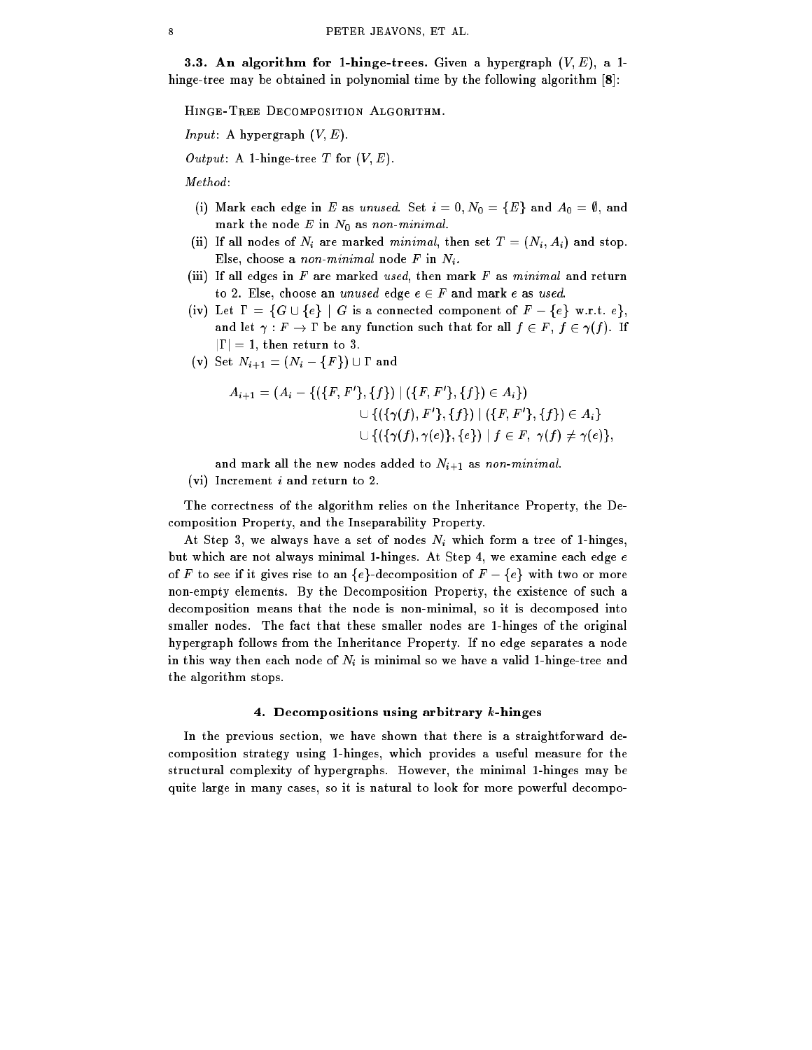**3.3. An algorithm for 1-hinge-trees.** Given a hypergraph  $(V, E)$ , a 1hinge-tree may be obtained in polynomial time by the following algorithm  $[8]$ :

Hinge-Tree Decomposition Algorithm.

*Input*: A hypergraph  $(V, E)$ .

Output: A 1-hinge-tree  $T$  for  $(V, E)$ .

Method :

- (i) Mark each edge in E as unused. Set  $i = 0, N_0 = \{E\}$  and  $A_0 = \emptyset$ , and mark the node  $E$  in  $N_0$  as non-minimal.
- (ii) If all nodes of  $N_i$  are marked minimal, then set  $T = (N_i, A_i)$  and stop. Else, choose a non-minimal node  $F$  in  $N_i$ .
- (iii) If all edges in  $F$  are marked used, then mark  $F$  as minimal and return to 2. Else, choose an unused edge  $e \in F$  and mark e as used.
- (iv) Let  $\Gamma = \{G \cup \{e\} \mid G \text{ is a connected component of } F \{e\} \text{ w.r.t. } e\},\$ and let  $\gamma : F \to \Gamma$  be any function such that for all  $f \in F$ ,  $f \in \gamma(f)$ . If  $|\Gamma| = 1$ , then return to 3.
- (v) Set  $N_{i+1} = (N_i \{F\}) \cup \Gamma$  and

$$
A_{i+1} = (A_i - \{(\{F, F'\}, \{f\}) \mid (\{F, F'\}, \{f\}) \in A_i\})
$$
  

$$
\cup \{(\{\gamma(f), F'\}, \{f\}) \mid (\{F, F'\}, \{f\}) \in A_i\}
$$
  

$$
\cup \{(\{\gamma(f), \gamma(e)\}, \{e\}) \mid f \in F, \ \gamma(f) \neq \gamma(e)\},
$$

and mark all the new nodes added to  $N_{i+1}$  as non-minimal. (vi) Increment  $i$  and return to 2.

The correctness of the algorithm relies on the Inheritance Property, the Decomposition Property, and the Inseparability Property.

At Step 3, we always have a set of nodes  $N_i$  which form a tree of 1-hinges, but which are not always minimal 1-hinges. At Step 4, we examine each edge e of F to see if it gives rise to an  ${e}$ -decomposition of  $F - {e}$  with two or more non-empty elements. By the Decomposition Property, the existence of such a decomposition means that the node is non-minimal, so it is decomposed into smaller nodes. The fact that these smaller nodes are 1-hinges of the original hypergraph follows from the Inheritance Property. If no edge separates a node in this way then each node of  $N_i$  is minimal so we have a valid 1-hinge-tree and the algorithm stops.

## 4. Decompositions using arbitrary k-hinges

In the previous section, we have shown that there is a straightforward decomposition strategy using 1-hinges, which provides a useful measure for the structural complexity of hypergraphs. However, the minimal 1-hinges may be quite large in many cases, so it is natural to look for more powerful decompo-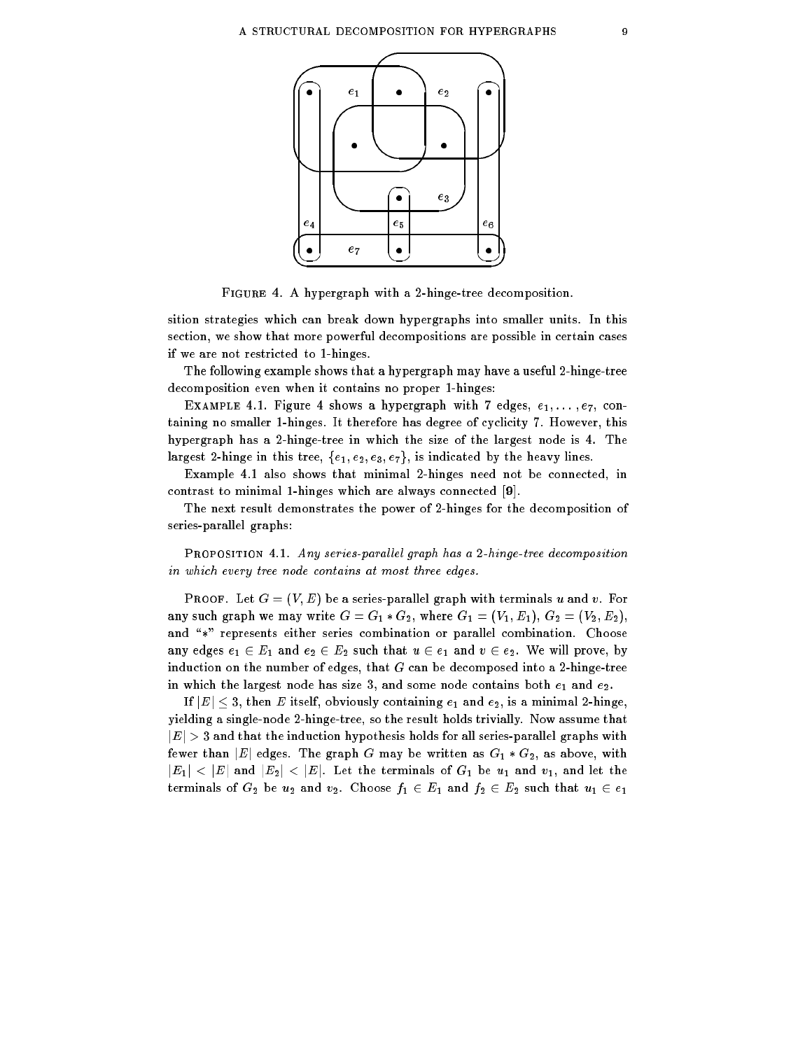

Figure 4. A hypergraph with a 2-hinge-tree decomposition.

sition strategies which can break down hypergraphs into smaller units. In this section, we show that more powerful decompositions are possible in certain cases if we are not restricted to 1-hinges.

The following example shows that a hypergraph may have a useful 2-hinge-tree decomposition even when it contains no proper 1-hinges:

EXAMPLE 4.1. Figure 4 shows a hypergraph with 7 edges,  $e_1, \ldots, e_7$ , containing no smaller 1-hinges. It therefore has degree of cyclicity 7. However, this hypergraph has a 2-hinge-tree in which the size of the largest node is 4. The largest 2-hinge in this tree,  $\{e_1, e_2, e_3, e_7\}$ , is indicated by the heavy lines.

Example 4.1 also shows that minimal 2-hinges need not be connected, in contrast to minimal 1-hinges which are always connected [9].

The next result demonstrates the power of 2-hinges for the decomposition of series-parallel graphs:

PROPOSITION 4.1. Any series-parallel graph has a 2-hinge-tree decomposition in which every tree node contains at most three edges.

**PROOF.** Let  $G = (V, E)$  be a series-parallel graph with terminals u and v. For any such graph we may write  $G = G_1 * G_2$ , where  $G_1 = (V_1, E_1), G_2 = (V_2, E_2),$ and "\*" represents either series combination or parallel combination. Choose any edges  $e_1 \in E_1$  and  $e_2 \in E_2$  such that  $u \in e_1$  and  $v \in e_2$ . We will prove, by induction on the number of edges, that  $G$  can be decomposed into a 2-hinge-tree in which the largest node has size 3, and some node contains both  $e_1$  and  $e_2$ .

If  $|E| \leq 3$ , then E itself, obviously containing  $e_1$  and  $e_2$ , is a minimal 2-hinge, yielding a single-node 2-hinge-tree, so the result holds trivially. Now assume that  $|E| > 3$  and that the induction hypothesis holds for all series-parallel graphs with fewer than  $|E|$  edges. The graph G may be written as  $G_1 * G_2$ , as above, with  $|E_1| < |E|$  and  $|E_2| < |E|$ . Let the terminals of  $G_1$  be  $u_1$  and  $v_1$ , and let the terminals of  $G_2$  be  $u_2$  and  $v_2$ . Choose  $f_1 \in E_1$  and  $f_2 \in E_2$  such that  $u_1 \in e_1$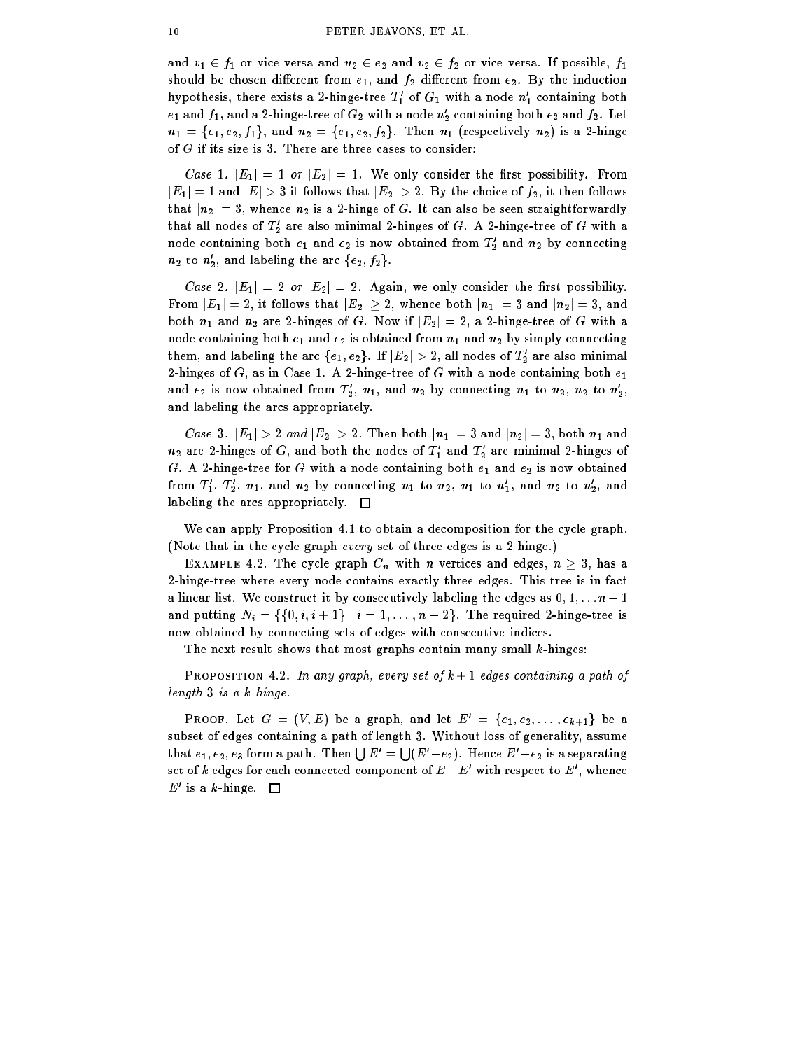and  $v_1 \in f_1$  or vice versa and  $u_2 \in e_2$  and  $v_2 \in f_2$  or vice versa. If possible,  $f_1$ should be chosen different from  $e_1$ , and  $f_2$  different from  $e_2$ . By the induction nypotnesis, there exists a 2-ninge-tree  $1_1$  of  $G_1$  with a node  $n_1$  containing both  $e_1$  and  $\jmath_1,$  and a 2-ninge-tree of  $G_2$  with a node  $n_2$  containing both  $e_2$  and  $\jmath_2.$  Let  $n_1 = \{e_1, e_2, f_1\}$ , and  $n_2 = \{e_1, e_2, f_2\}$ . Then  $n_1$  (respectively  $n_2$ ) is a 2-hinge of G if its size is 3. There are three cases to consider:

Case 1.  $|E_1|=1$  or  $|E_2|=1$ . We only consider the first possibility. From  $|E_1|=1$  and  $|E|>3$  it follows that  $|E_2|>2$ . By the choice of  $f_2$ , it then follows that  $|n_2|=3$ , whence  $n_2$  is a 2-hinge of G. It can also be seen straightforwardly that all nodes of  $T_2$  are also minimal 2-hinges of G. A 2-hinge-tree of G with a node containing both  $e_1$  and  $e_2$  is now obtained from  $\mathcal{I}_2$  and  $n_2$  by connecting  $n_2$  to  $n_2$ , and labeling the arc  $\{e_2, f_2\}$ .

Case 2.  $|E_1| = 2$  or  $|E_2| = 2$ . Again, we only consider the first possibility. From  $|E_1|=2$ , it follows that  $|E_2|\geq 2$ , whence both  $|n_1|=3$  and  $|n_2|=3$ , and both  $n_1$  and  $n_2$  are 2-hinges of G. Now if  $|E_2| = 2$ , a 2-hinge-tree of G with a node containing both  $e_1$  and  $e_2$  is obtained from  $n_1$  and  $n_2$  by simply connecting them, and labeling the arc  $\{e_1, e_2\}$ . If  $|E_2| > 2$ , all nodes of  $I_2$  are also minimal 2-hinges of  $G$ , as in Case 1. A 2-hinge-tree of  $G$  with a node containing both  $e_1$ and  $e_2$  is now obtained from  $1_2, n_1,$  and  $n_2$  by connecting  $n_1$  to  $n_2, n_2$  to  $n_2,$ and labeling the arcs appropriately.

Case 3.  $|E_1| > 2$  and  $|E_2| > 2$ . Then both  $|n_1| = 3$  and  $|n_2| = 3$ , both  $n_1$  and  $n_2$  are 2-ninges of  $G,$  and both the nodes of  $\scriptstyle I_1$  and  $\scriptstyle I_2$  are minimal 2-ninges of G. A 2-hinge-tree for G with a node containing both  $e_1$  and  $e_2$  is now obtained from  $1_1,\;1_2,\;n_1,$  and  $n_2$  by connecting  $n_1$  to  $n_2,\;n_1$  to  $n_1,$  and  $n_2$  to  $n_2,$  and labeling the arcs appropriately.  $\square$ 

We can apply Proposition 4.1 to obtain a decomposition for the cycle graph. (Note that in the cycle graph every set of three edges is a 2-hinge.)

EXAMPLE 4.2. The cycle graph  $C_n$  with n vertices and edges,  $n \geq 3$ , has a 2-hinge-tree where every node contains exactly three edges. This tree is in fact a linear list. We construct it by consecutively labeling the edges as  $0, 1, \ldots n-1$ and putting  $N_i = \{ \{0, i, i+1\} \mid i = 1, \ldots, n-2 \}.$  The required 2-hinge-tree is now obtained by connecting sets of edges with consecutive indices.

The next result shows that most graphs contain many small  $k$ -hinges:

**PROPOSITION 4.2.** In any graph, every set of  $k+1$  edges containing a path of length 3 is a k-hinge.

**PROOF.** Let  $G = (V, E)$  be a graph, and let  $E' = \{e_1, e_2, \ldots, e_{k+1}\}$  be a subset of edges containing a path of length 3. Without loss of generality, assume that  $e_1, e_2, e_3$  form a path. Then  $\bigcup E' = \bigcup (E'-e_2)$ . Hence  $E'-e_2$  is a separating set of  $\kappa$  edges for each connected component of  $E-E^-$  with respect to  $E$  , whence  $E$  is a  $\kappa$ -ninge.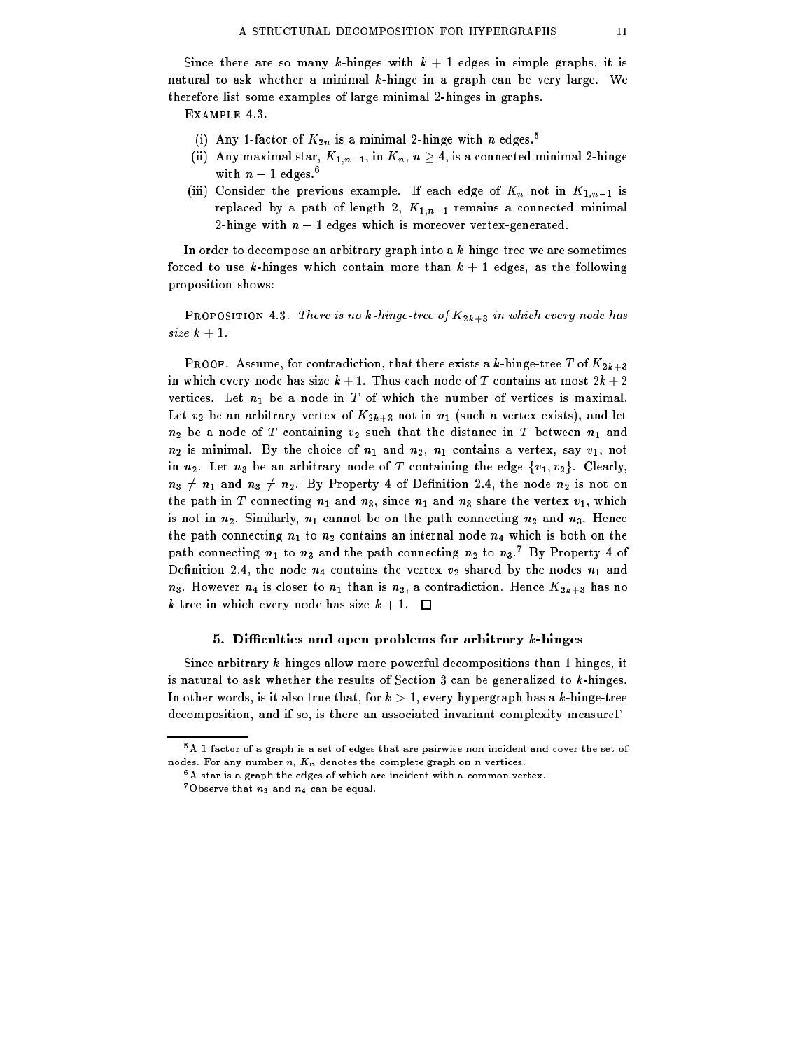Since there are so many k-hinges with  $k + 1$  edges in simple graphs, it is natural to ask whether a minimal k-hinge in a graph can be very large. We therefore list some examples of large minimal 2-hinges in graphs.

Example 4.3.

- (i) Any 1-factor of  $K_{2n}$  is a minimal 2-hinge with n edges.<sup>5</sup>
- (ii) Any maximal star,  $K_{1,n-1}$ , in  $K_n$ ,  $n \geq 4$ , is a connected minimal 2-hinge with  $n-1$  edges.<sup>6</sup>
- (iii) Consider the previous example. If each edge of  $K_n$  not in  $K_{1,n-1}$  is replaced by a path of length 2,  $K_{1,n-1}$  remains a connected minimal 2-hinge with  $n - 1$  edges which is moreover vertex-generated.

In order to decompose an arbitrary graph into a  $k$ -hinge-tree we are sometimes forced to use k-hinges which contain more than  $k + 1$  edges, as the following proposition shows:

**PROPOSITION 4.3.** There is no k-hinge-tree of  $K_{2k+3}$  in which every node has size  $k+1$ .

PROOF. Assume, for contradiction, that there exists a k-hinge-tree T of  $K_{2k+3}$ in which every node has size  $k + 1$ . Thus each node of T contains at most  $2k + 2$ vertices. Let  $n_1$  be a node in  $T$  of which the number of vertices is maximal. Let  $v_2$  be an arbitrary vertex of  $K_{2k+3}$  not in  $n_1$  (such a vertex exists), and let  $n_2$  be a node of T containing  $v_2$  such that the distance in T between  $n_1$  and  $n_2$  is minimal. By the choice of  $n_1$  and  $n_2$ ,  $n_1$  contains a vertex, say  $v_1$ , not in  $n_2$ . Let  $n_3$  be an arbitrary node of T containing the edge  $\{v_1, v_2\}$ . Clearly,  $n_3 \neq n_1$  and  $n_3 \neq n_2$ . By Property 4 of Definition 2.4, the node  $n_2$  is not on the path in T connecting  $n_1$  and  $n_3$ , since  $n_1$  and  $n_3$  share the vertex  $v_1$ , which is not in  $n_2$ . Similarly,  $n_1$  cannot be on the path connecting  $n_2$  and  $n_3$ . Hence the path connecting  $n_1$  to  $n_2$  contains an internal node  $n_4$  which is both on the path connecting  $n_1$  to  $n_3$  and the path connecting  $n_2$  to  $n_3$ . By Property 4 of Definition 2.4, the node  $n_4$  contains the vertex  $v_2$  shared by the nodes  $n_1$  and  $n_3$ . However  $n_4$  is closer to  $n_1$  than is  $n_2$ , a contradiction. Hence  $K_{2k+3}$  has no k-tree in which every node has size  $k + 1$ .

## 5. Difficulties and open problems for arbitrary  $k$ -hinges

Since arbitrary k-hinges allow more powerful decompositions than 1-hinges, it is natural to ask whether the results of Section  $3$  can be generalized to  $k$ -hinges. In other words, is it also true that, for  $k > 1$ , every hypergraph has a k-hinge-tree decomposition, and if so, is there an associated invariant complexity measure?

<sup>5</sup>A 1-factor of a graph is a set of edges that are pairwise non-incident and cover the set of nodes. For any number  $n, K_n$  denotes the complete graph on  $n$  vertices.

<sup>6</sup>A star is a graph the edges of which are incident with a common vertex.

<sup>&</sup>lt;sup>7</sup>Observe that  $n_3$  and  $n_4$  can be equal.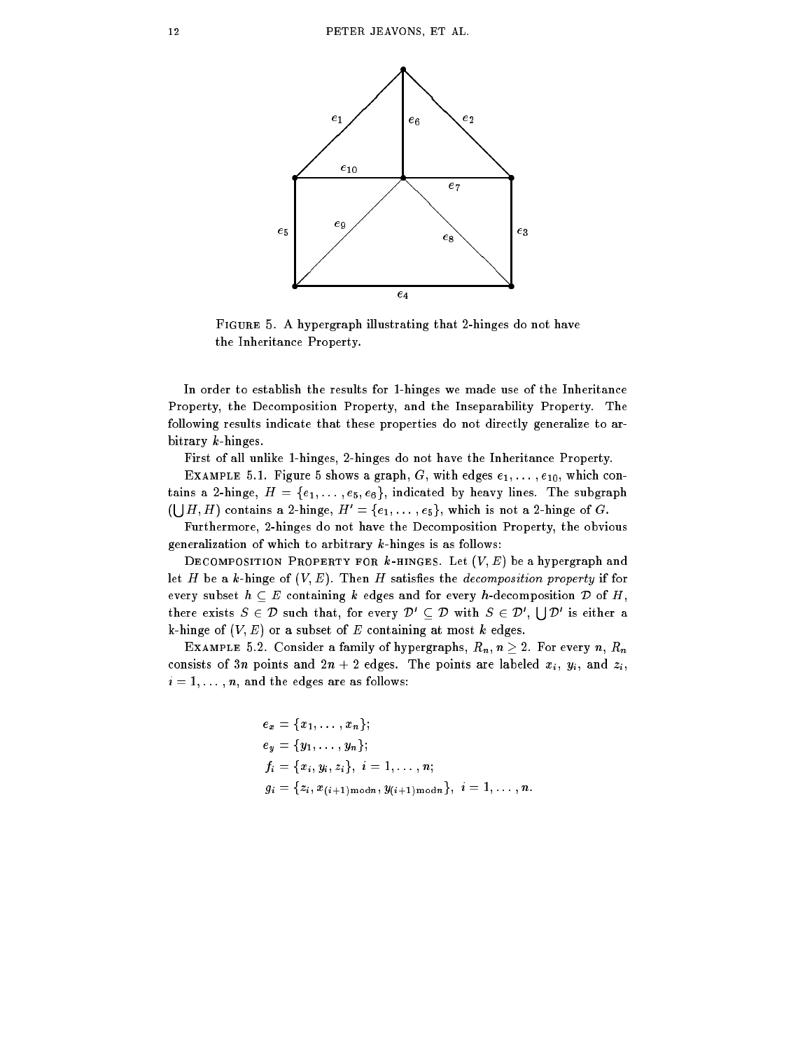

Figure 5. A hypergraph illustrating that 2-hinges do not have the Inheritance Property.

In order to establish the results for 1-hinges we made use of the Inheritance Property, the Decomposition Property, and the Inseparability Property. The following results indicate that these properties do not directly generalize to arbitrary k-hinges.

First of all unlike 1-hinges, 2-hinges do not have the Inheritance Property.

EXAMPLE 5.1. Figure 5 shows a graph, G, with edges  $e_1, \ldots, e_{10}$ , which contains a 2-hinge,  $H = \{e_1, \ldots, e_5, e_6\}$ , indicated by heavy lines. The subgraph  $(\bigcup H, H)$  contains a 2-hinge,  $H' = \{e_1, \ldots, e_5\}$ , which is not a 2-hinge of G.

Furthermore, 2-hinges do not have the Decomposition Property, the obvious generalization of which to arbitrary k-hinges is as follows:

DECOMPOSITION PROPERTY FOR  $k$ -HINGES. Let  $(V, E)$  be a hypergraph and let H be a k-hinge of  $(V, E)$ . Then H satisfies the decomposition property if for every subset  $h \subseteq E$  containing k edges and for every h-decomposition  $D$  of H, there exists  $S \in \mathcal{D}$  such that, for every  $\mathcal{D}' \subset \mathcal{D}$  with  $S \in \mathcal{D}'$ ,  $\Box$   $\Box'$  is either a k-hinge of  $(V, E)$  or a subset of E containing at most k edges.

EXAMPLE 5.2. Consider a family of hypergraphs,  $R_n$ ,  $n \geq 2$ . For every n,  $R_n$ consists of 3n points and  $2n + 2$  edges. The points are labeled  $x_i$ ,  $y_i$ , and  $z_i$ ,  $i = 1, \ldots, n$ , and the edges are as follows:

$$
e_x = \{x_1, \ldots, x_n\};
$$
  
\n
$$
e_y = \{y_1, \ldots, y_n\};
$$
  
\n
$$
f_i = \{x_i, y_i, z_i\}, i = 1, \ldots, n;
$$
  
\n
$$
g_i = \{z_i, x_{(i+1) \mod n}, y_{(i+1) \mod n}\}, i = 1, \ldots, n.
$$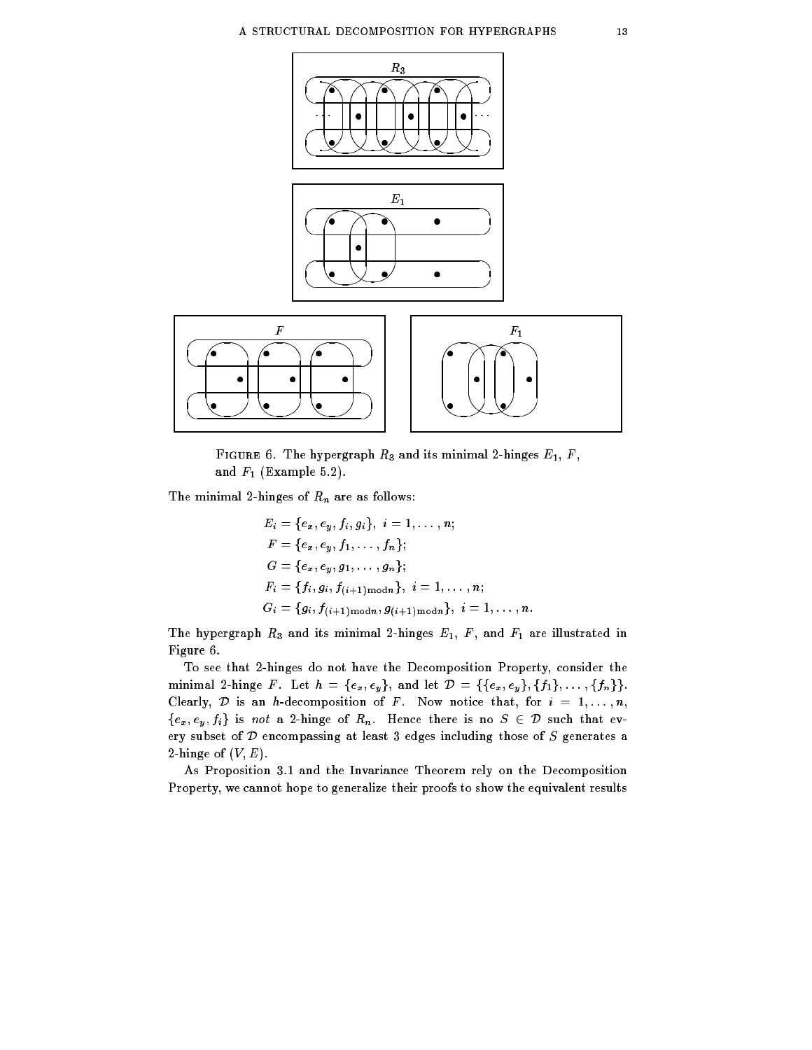

FIGURE 6. The hypergraph  $R_3$  and its minimal 2-hinges  $E_1$ ,  $F$ , and  $F_1$  (Example 5.2).

The minimal 2-hinges of  $R_n$  are as follows:

$$
E_i = \{e_x, e_y, f_i, g_i\}, i = 1, ..., n;
$$
  
\n
$$
F = \{e_x, e_y, f_1, ..., f_n\};
$$
  
\n
$$
G = \{e_x, e_y, g_1, ..., g_n\};
$$
  
\n
$$
F_i = \{f_i, g_i, f_{(i+1) \text{mod} n}\}, i = 1, ..., n;
$$
  
\n
$$
G_i = \{g_i, f_{(i+1) \text{mod} n}, g_{(i+1) \text{mod} n}\}, i = 1, ..., n.
$$

The hypergraph  $R_3$  and its minimal 2-hinges  $E_1$ ,  $F$ , and  $F_1$  are illustrated in Figure 6.

To see that 2-hinges do not have the Decomposition Property, consider the minimal 2-hinge F. Let  $h = \{e_x, e_y\}$ , and let  $\mathcal{D} = \{\{e_x, e_y\}, \{f_1\}, \ldots, \{f_n\}\}.$ Clearly,  $D$  is an h-decomposition of F. Now notice that, for  $i = 1, \ldots, n$ ,  ${e_x, e_y, f_i}$  is not a 2-hinge of  $R_n$ . Hence there is no  $S \in \mathcal{D}$  such that every subset of <sup>D</sup> encompassing at least 3 edges including those of S generates a 2-hinge of  $(V, E)$ .

As Proposition 3.1 and the Invariance Theorem rely on the Decomposition Property, we cannot hope to generalize their proofs to show the equivalent results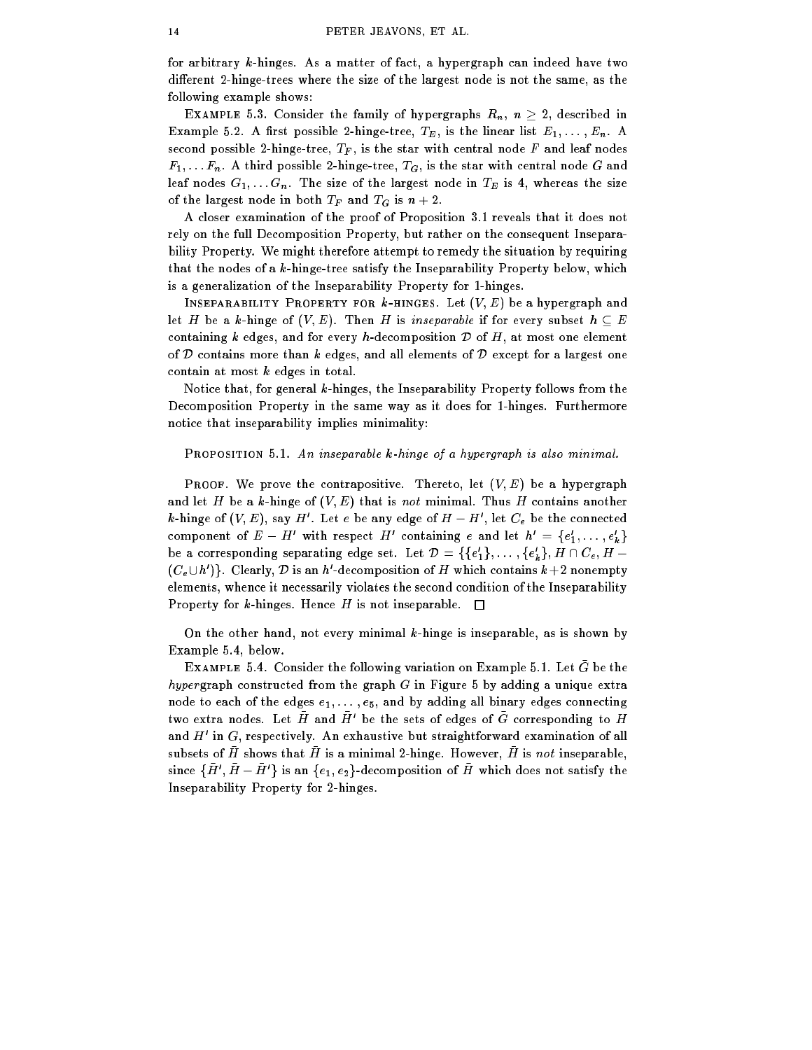for arbitrary k-hinges. As a matter of fact, a hypergraph can indeed have two different 2-hinge-trees where the size of the largest node is not the same, as the following example shows:

EXAMPLE 5.3. Consider the family of hypergraphs  $R_n$ ,  $n \geq 2$ , described in Example 5.2. A first possible 2-hinge-tree,  $T_E$ , is the linear list  $E_1, \ldots, E_n$ . A second possible 2-hinge-tree,  $T_F$ , is the star with central node F and leaf nodes  $F_1, \ldots F_n$ . A third possible 2-hinge-tree,  $T_G$ , is the star with central node G and leaf nodes  $G_1, \ldots, G_n$ . The size of the largest node in  $T_E$  is 4, whereas the size of the largest node in both  $T_F$  and  $T_G$  is  $n+2$ .

A closer examination of the proof of Proposition 3.1 reveals that it does not rely on the full Decomposition Property, but rather on the consequent Inseparability Property. We might therefore attempt to remedy the situation by requiring that the nodes of a  $k$ -hinge-tree satisfy the Inseparability Property below, which is a generalization of the Inseparability Property for 1-hinges.

INSEPARABILITY PROPERTY FOR  $k$ -HINGES. Let  $(V, E)$  be a hypergraph and let H be a k-hinge of  $(V, E)$ . Then H is inseparable if for every subset  $h \subseteq E$ containing k edges, and for every h-decomposition  $D$  of H, at most one element of  $D$  contains more than k edges, and all elements of  $D$  except for a largest one contain at most k edges in total.

Notice that, for general k-hinges, the Inseparability Property follows from the Decomposition Property in the same way as it does for 1-hinges. Furthermore notice that inseparability implies minimality:

### PROPOSITION 5.1. An inseparable k-hinge of a hypergraph is also minimal.

PROOF. We prove the contrapositive. Thereto, let  $(V, E)$  be a hypergraph and let H be a k-hinge of  $(V, E)$  that is not minimal. Thus H contains another  $\kappa$ -ninge of (v,  $E$  ), say  $H$  . Let  $e$  be any edge of  $H=H$  , let  $C_e$  be the connected component of  $E = H$  with respect H containing e and let  $h = \{e_1, \ldots, e_k\}$ be a corresponding separating edge set. Let  $D = \{ \{e_1\}, \ldots, \{e_k\}, H \cup C_e, H = 0\}$ (CeUn )). Clearly,  $\nu$  is an  $n$  -decomposition of H which contains  $\kappa+2$  nonempty elements, whence it necessarily violates the second condition of the Inseparability Property for k-hinges. Hence H is not inseparable.  $\Box$ 

On the other hand, not every minimal  $k$ -hinge is inseparable, as is shown by Example 5.4, below.

EXAMPLE 5.4. Consider the following variation on Example 5.1. Let  $G$  be the hyper graph constructed from the graph  $G$  in Figure 5 by adding a unique extra node to each of the edges  $e_1, \ldots, e_5$ , and by adding all binary edges connecting two extra nodes. Let  $\bm{\mu}$  and  $\bm{\mu}$  be the sets of edges of  $\bm{\mathrm{G}}$  corresponding to  $\bm{\mu}$ and  $\pi$  in  $G$ , respectively. An exhaustive but straightforward examination of all subsets of  $H$  shows that  $H$  is a minimial 2-hinge. However,  $H$  is not inseparable, since  $\{H\,$  ,  $H=H\,$   $\}$  is an  $\{e_1, e_2\}$ -decomposition of  $H\,$  which does not satisfy the Inseparability Property for 2-hinges.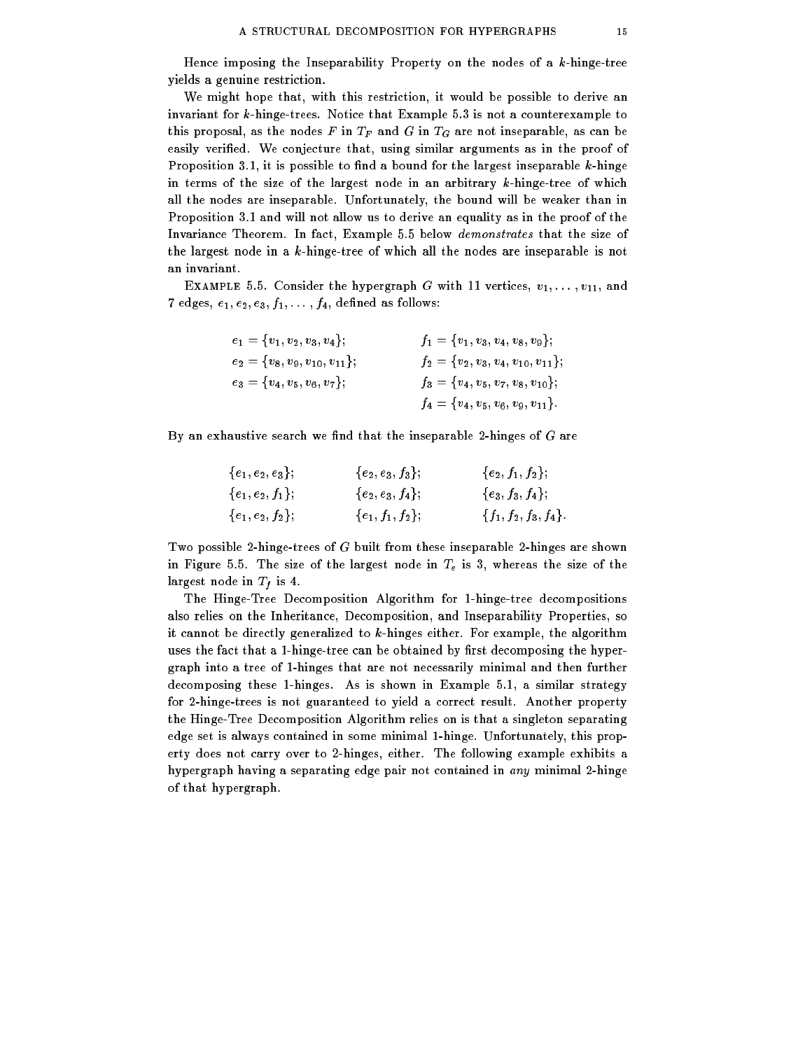Hence imposing the Inseparability Property on the nodes of a k-hinge-tree yields a genuine restriction.

We might hope that, with this restriction, it would be possible to derive an invariant for k-hinge-trees. Notice that Example 5.3 is not a counterexample to this proposal, as the nodes F in  $T_F$  and G in  $T_G$  are not inseparable, as can be easily verified. We conjecture that, using similar arguments as in the proof of Proposition 3.1, it is possible to find a bound for the largest inseparable  $k$ -hinge in terms of the size of the largest node in an arbitrary k-hinge-tree of which all the nodes are inseparable. Unfortunately, the bound will be weaker than in Proposition 3.1 and will not allow us to derive an equality as in the proof of the Invariance Theorem. In fact, Example 5.5 below demonstrates that the size of the largest node in a k-hinge-tree of which all the nodes are inseparable is not an invariant.

EXAMPLE 5.5. Consider the hypergraph G with 11 vertices,  $v_1, \ldots, v_{11}$ , and 7 edges,  $e_1, e_2, e_3, f_1, \ldots, f_4$ , defined as follows:

| $e_1 = \{v_1, v_2, v_3, v_4\};$       | $f_1 = \{v_1, v_3, v_4, v_8, v_9\};$       |
|---------------------------------------|--------------------------------------------|
| $e_2 = \{v_8, v_9, v_{10}, v_{11}\};$ | $f_2 = \{v_2, v_3, v_4, v_{10}, v_{11}\};$ |
| $e_3 = \{v_4, v_5, v_6, v_7\};$       | $f_3 = \{v_4, v_5, v_7, v_8, v_{10}\};$    |
|                                       | $f_4=\{v_4,v_5,v_6,v_9,v_{11}\}.$          |

By an exhaustive search we find that the inseparable 2-hinges of  $G$  are

| $\{e_1, e_2, e_3\},$         | ${e_2,e_3,f_3};$   | $\{e_2, f_1, f_2\};$    |
|------------------------------|--------------------|-------------------------|
| $\{e_1, e_2, f_1\};$         | ${e_2,e_3,f_4};$   | $\{e_3, f_3, f_4\};$    |
| $\{e_1\,,\,e_2\,,\,f_2\}\,,$ | ${e_1, f_1, f_2};$ | ${f_1, f_2, f_3, f_4}.$ |

Two possible 2-hinge-trees of G built from these inseparable 2-hinges are shown in Figure 5.5. The size of the largest node in  $T_e$  is 3, whereas the size of the largest node in  $T_f$  is 4.

The Hinge-Tree Decomposition Algorithm for 1-hinge-tree decompositions also relies on the Inheritance, Decomposition, and Inseparability Properties, so it cannot be directly generalized to k-hinges either. For example, the algorithm uses the fact that a 1-hinge-tree can be obtained by first decomposing the hypergraph into a tree of 1-hinges that are not necessarily minimal and then further decomposing these 1-hinges. As is shown in Example 5.1, a similar strategy for 2-hinge-trees is not guaranteed to yield a correct result. Another property the Hinge-Tree Decomposition Algorithm relies on is that a singleton separating edge set is always contained in some minimal 1-hinge. Unfortunately, this property does not carry over to 2-hinges, either. The following example exhibits a hypergraph having a separating edge pair not contained in any minimal 2-hinge of that hypergraph.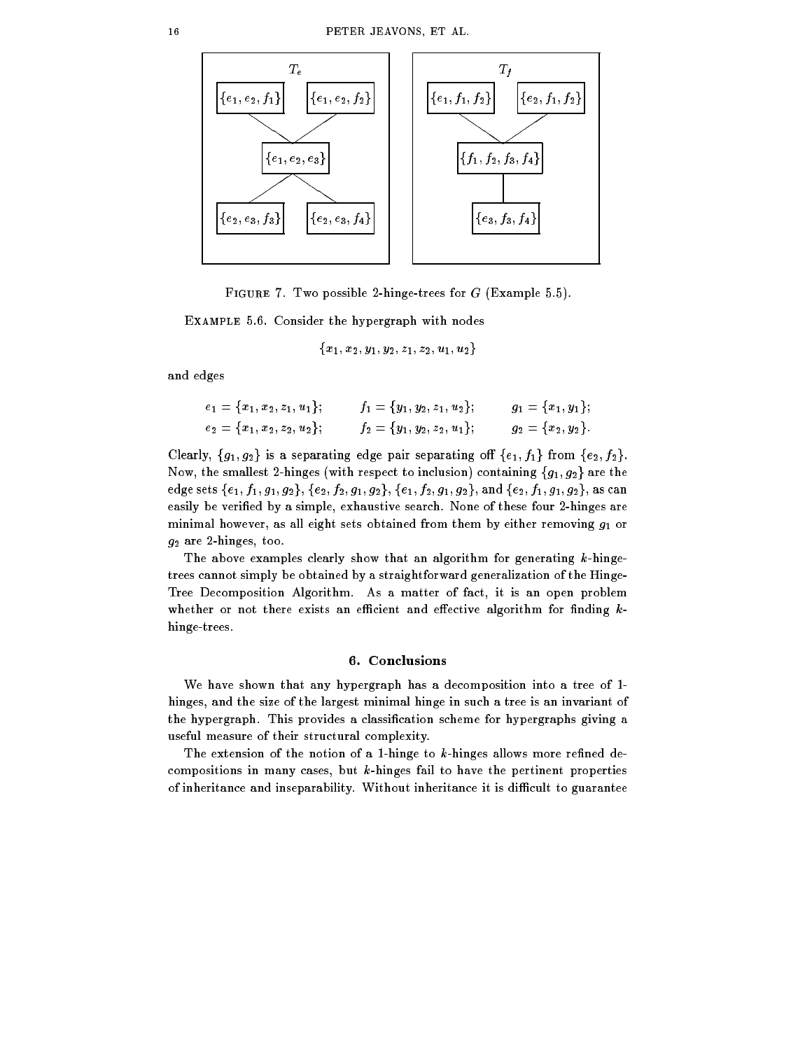

FIGURE 7. Two possible 2-hinge-trees for  $G$  (Example 5.5).

Example 5.6. Consider the hypergraph with nodes

$$
\{x_1,x_2,y_1,y_2,z_1,z_2,u_1,u_2\}
$$

and edges

$$
e_1 = \{x_1, x_2, z_1, u_1\}; \n f_1 = \{y_1, y_2, z_1, u_2\}; \n g_1 = \{x_1, y_1\};
$$
\n
$$
e_2 = \{x_1, x_2, z_2, u_2\}; \n f_2 = \{y_1, y_2, z_2, u_1\}; \n g_2 = \{x_2, y_2\}.
$$

Clearly,  $\{g_1, g_2\}$  is a separating edge pair separating off  $\{e_1, f_1\}$  from  $\{e_2, f_2\}.$ Now, the smallest 2-hinges (with respect to inclusion) containing  ${g_1, g_2}$  are the edge sets  $\{e_1, f_1, g_1, g_2\}, \{e_2, f_2, g_1, g_2\}, \{e_1, f_2, g_1, g_2\}, \text{and } \{e_2, f_1, g_1, g_2\}, \text{as can}$ easily be veried by a simple, exhaustive search. None of these four 2-hinges are minimal however, as all eight sets obtained from them by either removing  $g_1$  or  $g_2$  are 2-hinges, too.

The above examples clearly show that an algorithm for generating k-hingetrees cannot simply be obtained by a straightforward generalization of the Hinge-Tree Decomposition Algorithm. As a matter of fact, it is an open problem whether or not there exists an efficient and effective algorithm for finding  $k$ hinge-trees.

## 6. Conclusions

We have shown that any hypergraph has a decomposition into a tree of 1 hinges, and the size of the largest minimal hinge in such a tree is an invariant of the hypergraph. This provides a classication scheme for hypergraphs giving a useful measure of their structural complexity.

The extension of the notion of a 1-hinge to  $k$ -hinges allows more refined decompositions in many cases, but k-hinges fail to have the pertinent properties of inheritance and inseparability. Without inheritance it is difficult to guarantee